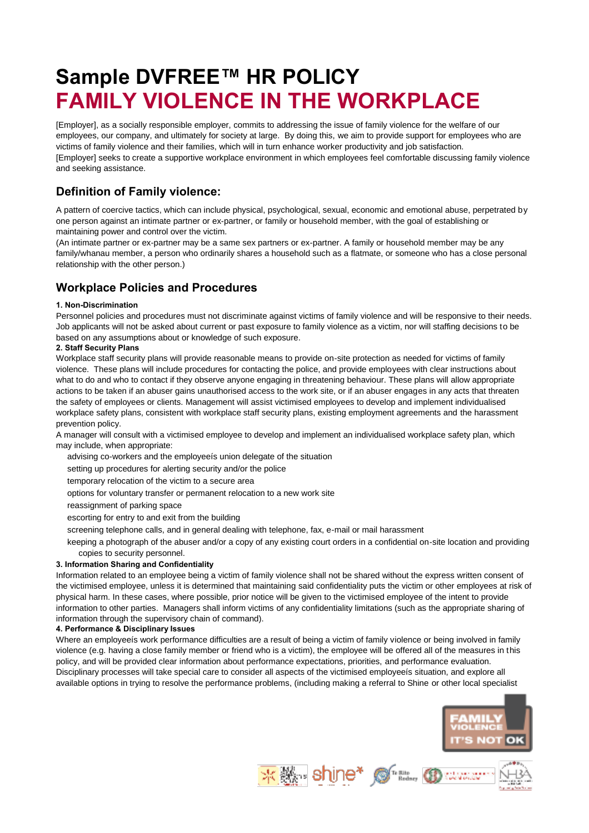# **Sample DVFREE™ HR POLICY FAMILY VIOLENCE IN THE WORKPLACE**

[Employer], as a socially responsible employer, commits to addressing the issue of family violence for the welfare of our employees, our company, and ultimately for society at large. By doing this, we aim to provide support for employees who are victims of family violence and their families, which will in turn enhance worker productivity and job satisfaction. [Employer] seeks to create a supportive workplace environment in which employees feel comfortable discussing family violence and seeking assistance.

## **Definition of Family violence:**

A pattern of coercive tactics, which can include physical, psychological, sexual, economic and emotional abuse, perpetrated by one person against an intimate partner or ex-partner, or family or household member, with the goal of establishing or maintaining power and control over the victim.

(An intimate partner or ex-partner may be a same sex partners or ex-partner. A family or household member may be any family/whanau member, a person who ordinarily shares a household such as a flatmate, or someone who has a close personal relationship with the other person.)

# **Workplace Policies and Procedures**

## **1. Non-Discrimination**

Personnel policies and procedures must not discriminate against victims of family violence and will be responsive to their needs. Job applicants will not be asked about current or past exposure to family violence as a victim, nor will staffing decisions to be based on any assumptions about or knowledge of such exposure.

#### **2. Staff Security Plans**

Workplace staff security plans will provide reasonable means to provide on-site protection as needed for victims of family violence. These plans will include procedures for contacting the police, and provide employees with clear instructions about what to do and who to contact if they observe anyone engaging in threatening behaviour. These plans will allow appropriate actions to be taken if an abuser gains unauthorised access to the work site, or if an abuser engages in any acts that threaten the safety of employees or clients. Management will assist victimised employees to develop and implement individualised workplace safety plans, consistent with workplace staff security plans, existing employment agreements and the harassment prevention policy.

A manager will consult with a victimised employee to develop and implement an individualised workplace safety plan, which may include, when appropriate:

advising co-workers and the employeeís union delegate of the situation

setting up procedures for alerting security and/or the police

temporary relocation of the victim to a secure area

options for voluntary transfer or permanent relocation to a new work site

reassignment of parking space

escorting for entry to and exit from the building

screening telephone calls, and in general dealing with telephone, fax, e-mail or mail harassment

keeping a photograph of the abuser and/or a copy of any existing court orders in a confidential on-site location and providing copies to security personnel.

## **3. Information Sharing and Confidentiality**

Information related to an employee being a victim of family violence shall not be shared without the express written consent of the victimised employee, unless it is determined that maintaining said confidentiality puts the victim or other employees at risk of physical harm. In these cases, where possible, prior notice will be given to the victimised employee of the intent to provide information to other parties. Managers shall inform victims of any confidentiality limitations (such as the appropriate sharing of information through the supervisory chain of command).

**4. Performance & Disciplinary Issues**

Where an employeeís work performance difficulties are a result of being a victim of family violence or being involved in family violence (e.g. having a close family member or friend who is a victim), the employee will be offered all of the measures in this policy, and will be provided clear information about performance expectations, priorities, and performance evaluation. Disciplinary processes will take special care to consider all aspects of the victimised employeeís situation, and explore all available options in trying to resolve the performance problems, (including making a referral to Shine or other local specialist

**不勝 shine\* @ ..... (D ...**